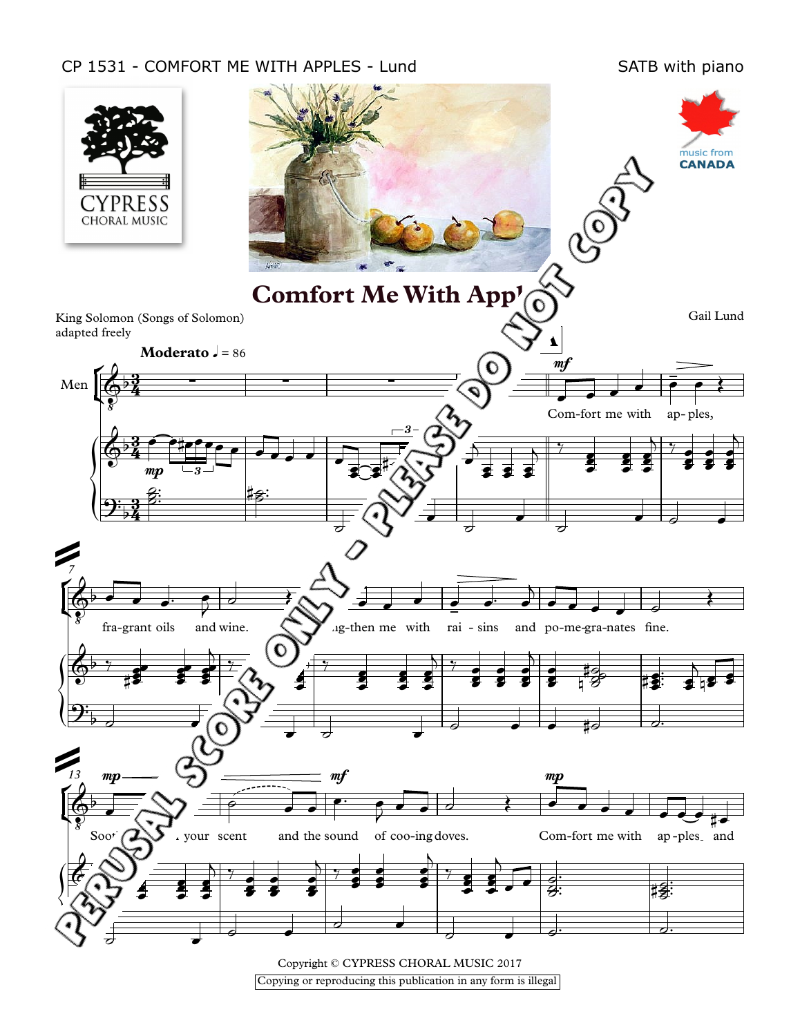## CP 1531 - COMFORT ME WITH APPLES - Lund SATB with piano



Copying or reproducing this publication in any form is illegal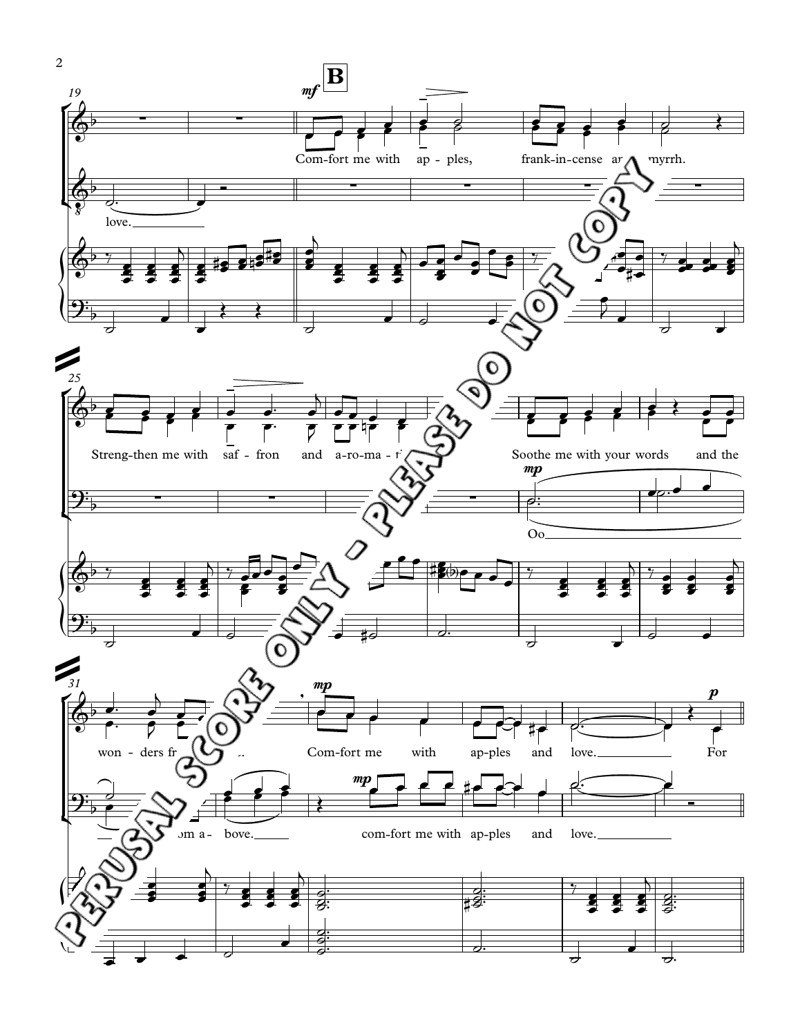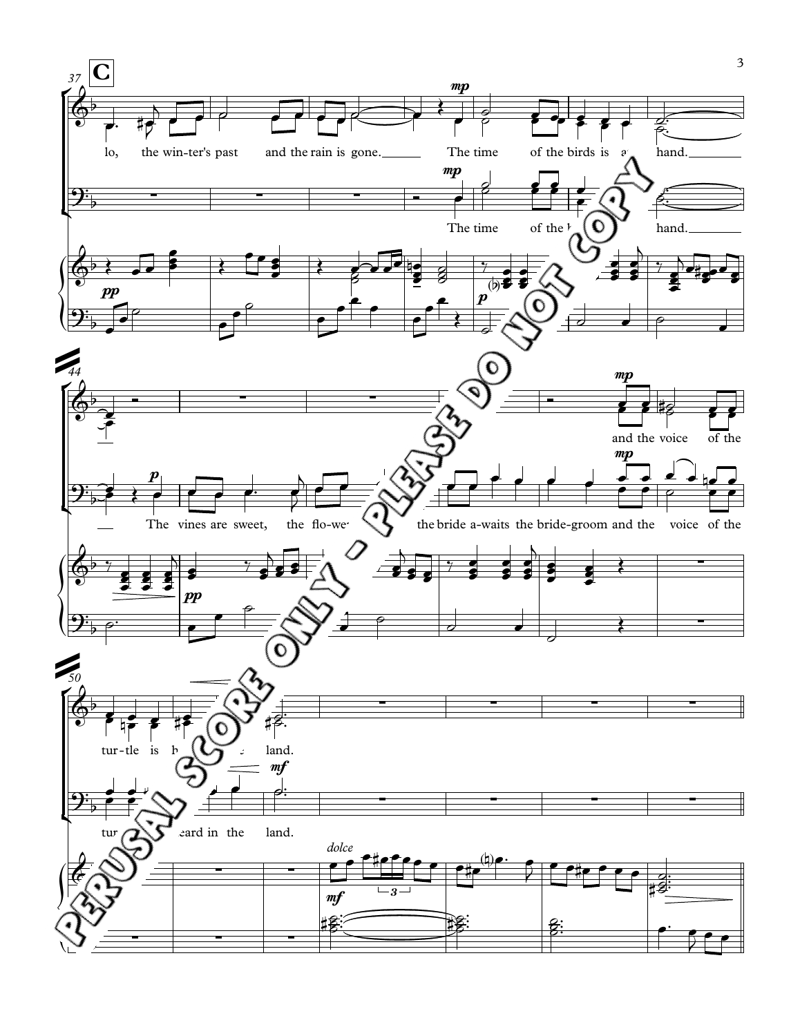